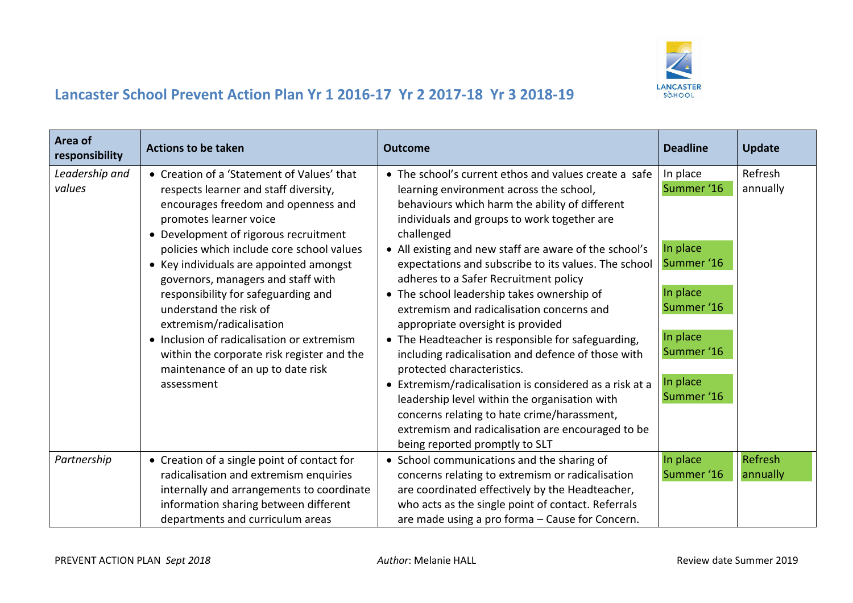

| Area of<br>responsibility | <b>Actions to be taken</b>                                                                                                                                                                                                                                                                                                                                                                                                                                                                                                                                              | <b>Outcome</b>                                                                                                                                                                                                                                                                                                                                                                                                                                                                                                                                                                                                                                                                                                                                                                                                                                                                                         | <b>Deadline</b>                                                                                                                | <b>Update</b>              |
|---------------------------|-------------------------------------------------------------------------------------------------------------------------------------------------------------------------------------------------------------------------------------------------------------------------------------------------------------------------------------------------------------------------------------------------------------------------------------------------------------------------------------------------------------------------------------------------------------------------|--------------------------------------------------------------------------------------------------------------------------------------------------------------------------------------------------------------------------------------------------------------------------------------------------------------------------------------------------------------------------------------------------------------------------------------------------------------------------------------------------------------------------------------------------------------------------------------------------------------------------------------------------------------------------------------------------------------------------------------------------------------------------------------------------------------------------------------------------------------------------------------------------------|--------------------------------------------------------------------------------------------------------------------------------|----------------------------|
| Leadership and<br>values  | • Creation of a 'Statement of Values' that<br>respects learner and staff diversity,<br>encourages freedom and openness and<br>promotes learner voice<br>• Development of rigorous recruitment<br>policies which include core school values<br>• Key individuals are appointed amongst<br>governors, managers and staff with<br>responsibility for safeguarding and<br>understand the risk of<br>extremism/radicalisation<br>• Inclusion of radicalisation or extremism<br>within the corporate risk register and the<br>maintenance of an up to date risk<br>assessment | • The school's current ethos and values create a safe<br>learning environment across the school,<br>behaviours which harm the ability of different<br>individuals and groups to work together are<br>challenged<br>• All existing and new staff are aware of the school's<br>expectations and subscribe to its values. The school<br>adheres to a Safer Recruitment policy<br>• The school leadership takes ownership of<br>extremism and radicalisation concerns and<br>appropriate oversight is provided<br>• The Headteacher is responsible for safeguarding,<br>including radicalisation and defence of those with<br>protected characteristics.<br>• Extremism/radicalisation is considered as a risk at a<br>leadership level within the organisation with<br>concerns relating to hate crime/harassment,<br>extremism and radicalisation are encouraged to be<br>being reported promptly to SLT | In place<br>Summer '16<br>In place<br>Summer '16<br>In place<br>Summer '16<br>In place<br>Summer '16<br>In place<br>Summer '16 | Refresh<br>annually        |
| Partnership               | • Creation of a single point of contact for<br>radicalisation and extremism enquiries<br>internally and arrangements to coordinate<br>information sharing between different<br>departments and curriculum areas                                                                                                                                                                                                                                                                                                                                                         | • School communications and the sharing of<br>concerns relating to extremism or radicalisation<br>are coordinated effectively by the Headteacher,<br>who acts as the single point of contact. Referrals<br>are made using a pro forma - Cause for Concern.                                                                                                                                                                                                                                                                                                                                                                                                                                                                                                                                                                                                                                             | In place<br>Summer '16                                                                                                         | <b>Refresh</b><br>annually |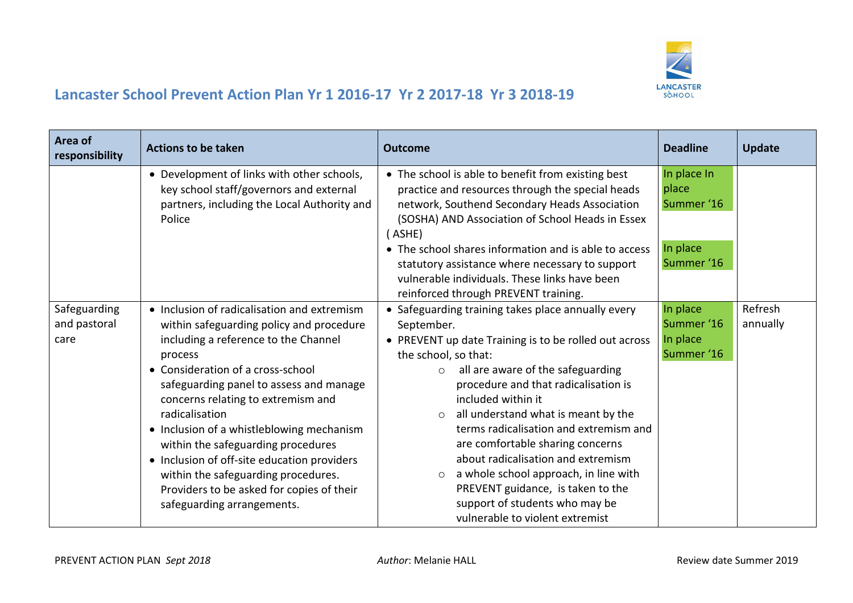

| Area of<br>responsibility            | <b>Actions to be taken</b>                                                                                                                                                                                                                                                                                                                                                                                                                                                                                                             | <b>Outcome</b>                                                                                                                                                                                                                                                                                                                                                                                                                                                                                                                                                                                      | <b>Deadline</b>                                              | <b>Update</b>       |
|--------------------------------------|----------------------------------------------------------------------------------------------------------------------------------------------------------------------------------------------------------------------------------------------------------------------------------------------------------------------------------------------------------------------------------------------------------------------------------------------------------------------------------------------------------------------------------------|-----------------------------------------------------------------------------------------------------------------------------------------------------------------------------------------------------------------------------------------------------------------------------------------------------------------------------------------------------------------------------------------------------------------------------------------------------------------------------------------------------------------------------------------------------------------------------------------------------|--------------------------------------------------------------|---------------------|
|                                      | • Development of links with other schools,<br>key school staff/governors and external<br>partners, including the Local Authority and<br>Police                                                                                                                                                                                                                                                                                                                                                                                         | • The school is able to benefit from existing best<br>practice and resources through the special heads<br>network, Southend Secondary Heads Association<br>(SOSHA) AND Association of School Heads in Essex<br>(ASHE)<br>• The school shares information and is able to access<br>statutory assistance where necessary to support                                                                                                                                                                                                                                                                   | In place In<br>place<br>Summer '16<br>In place<br>Summer '16 |                     |
|                                      |                                                                                                                                                                                                                                                                                                                                                                                                                                                                                                                                        | vulnerable individuals. These links have been<br>reinforced through PREVENT training.                                                                                                                                                                                                                                                                                                                                                                                                                                                                                                               |                                                              |                     |
| Safeguarding<br>and pastoral<br>care | • Inclusion of radicalisation and extremism<br>within safeguarding policy and procedure<br>including a reference to the Channel<br>process<br>• Consideration of a cross-school<br>safeguarding panel to assess and manage<br>concerns relating to extremism and<br>radicalisation<br>• Inclusion of a whistleblowing mechanism<br>within the safeguarding procedures<br>• Inclusion of off-site education providers<br>within the safeguarding procedures.<br>Providers to be asked for copies of their<br>safeguarding arrangements. | • Safeguarding training takes place annually every<br>September.<br>• PREVENT up date Training is to be rolled out across<br>the school, so that:<br>all are aware of the safeguarding<br>$\circ$<br>procedure and that radicalisation is<br>included within it<br>all understand what is meant by the<br>$\circ$<br>terms radicalisation and extremism and<br>are comfortable sharing concerns<br>about radicalisation and extremism<br>a whole school approach, in line with<br>$\circ$<br>PREVENT guidance, is taken to the<br>support of students who may be<br>vulnerable to violent extremist | In place<br>Summer '16<br>In place<br>Summer '16             | Refresh<br>annually |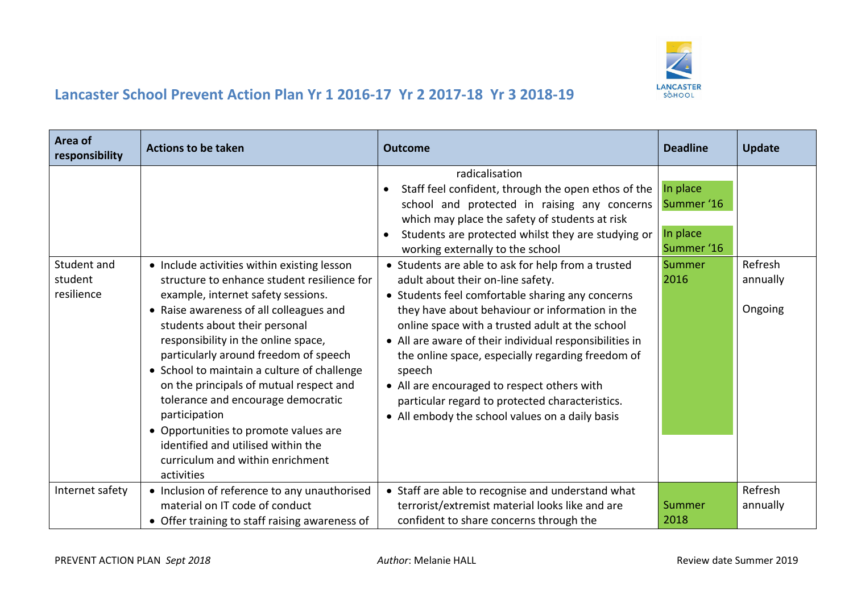

| Area of<br>responsibility            | <b>Actions to be taken</b>                                                                                                                                                                                                                                                                                                                                                                                                                                                                                                                                                     | <b>Outcome</b>                                                                                                                                                                                                                                                                                                                                                                                                                                                                                                                                                                                                                                                                                                                                                                                                     | <b>Deadline</b>                                                    | <b>Update</b>                  |
|--------------------------------------|--------------------------------------------------------------------------------------------------------------------------------------------------------------------------------------------------------------------------------------------------------------------------------------------------------------------------------------------------------------------------------------------------------------------------------------------------------------------------------------------------------------------------------------------------------------------------------|--------------------------------------------------------------------------------------------------------------------------------------------------------------------------------------------------------------------------------------------------------------------------------------------------------------------------------------------------------------------------------------------------------------------------------------------------------------------------------------------------------------------------------------------------------------------------------------------------------------------------------------------------------------------------------------------------------------------------------------------------------------------------------------------------------------------|--------------------------------------------------------------------|--------------------------------|
| Student and<br>student<br>resilience | • Include activities within existing lesson<br>structure to enhance student resilience for<br>example, internet safety sessions.<br>• Raise awareness of all colleagues and<br>students about their personal<br>responsibility in the online space,<br>particularly around freedom of speech<br>• School to maintain a culture of challenge<br>on the principals of mutual respect and<br>tolerance and encourage democratic<br>participation<br>• Opportunities to promote values are<br>identified and utilised within the<br>curriculum and within enrichment<br>activities | radicalisation<br>Staff feel confident, through the open ethos of the<br>school and protected in raising any concerns<br>which may place the safety of students at risk<br>Students are protected whilst they are studying or<br>$\bullet$<br>working externally to the school<br>• Students are able to ask for help from a trusted<br>adult about their on-line safety.<br>• Students feel comfortable sharing any concerns<br>they have about behaviour or information in the<br>online space with a trusted adult at the school<br>• All are aware of their individual responsibilities in<br>the online space, especially regarding freedom of<br>speech<br>• All are encouraged to respect others with<br>particular regard to protected characteristics.<br>• All embody the school values on a daily basis | In place<br>Summer '16<br>In place<br>Summer '16<br>Summer<br>2016 | Refresh<br>annually<br>Ongoing |
| Internet safety                      | • Inclusion of reference to any unauthorised<br>material on IT code of conduct<br>• Offer training to staff raising awareness of                                                                                                                                                                                                                                                                                                                                                                                                                                               | • Staff are able to recognise and understand what<br>terrorist/extremist material looks like and are<br>confident to share concerns through the                                                                                                                                                                                                                                                                                                                                                                                                                                                                                                                                                                                                                                                                    | Summer<br>2018                                                     | Refresh<br>annually            |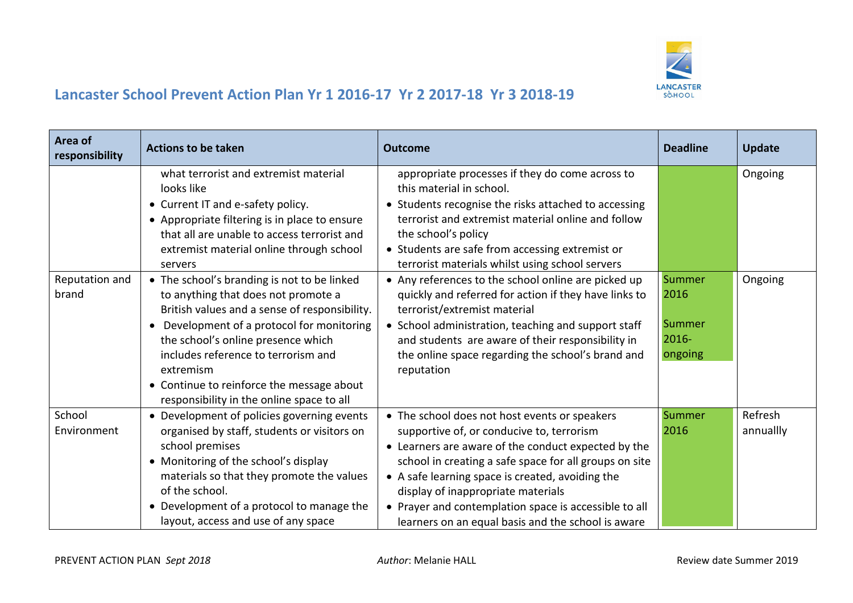

| Area of<br>responsibility | <b>Actions to be taken</b>                                                                                                                                                                                                                                                                                                                                                       | <b>Outcome</b>                                                                                                                                                                                                                                                                                                                                                                                                       | <b>Deadline</b>                                 | <b>Update</b>        |
|---------------------------|----------------------------------------------------------------------------------------------------------------------------------------------------------------------------------------------------------------------------------------------------------------------------------------------------------------------------------------------------------------------------------|----------------------------------------------------------------------------------------------------------------------------------------------------------------------------------------------------------------------------------------------------------------------------------------------------------------------------------------------------------------------------------------------------------------------|-------------------------------------------------|----------------------|
|                           | what terrorist and extremist material<br>looks like<br>• Current IT and e-safety policy.<br>• Appropriate filtering is in place to ensure<br>that all are unable to access terrorist and<br>extremist material online through school<br>servers                                                                                                                                  | appropriate processes if they do come across to<br>this material in school.<br>• Students recognise the risks attached to accessing<br>terrorist and extremist material online and follow<br>the school's policy<br>• Students are safe from accessing extremist or<br>terrorist materials whilst using school servers                                                                                               |                                                 | Ongoing              |
| Reputation and<br>brand   | • The school's branding is not to be linked<br>to anything that does not promote a<br>British values and a sense of responsibility.<br>Development of a protocol for monitoring<br>$\bullet$<br>the school's online presence which<br>includes reference to terrorism and<br>extremism<br>• Continue to reinforce the message about<br>responsibility in the online space to all | • Any references to the school online are picked up<br>quickly and referred for action if they have links to<br>terrorist/extremist material<br>• School administration, teaching and support staff<br>and students are aware of their responsibility in<br>the online space regarding the school's brand and<br>reputation                                                                                          | Summer<br>2016<br>Summer<br>$2016 -$<br>ongoing | Ongoing              |
| School<br>Environment     | • Development of policies governing events<br>organised by staff, students or visitors on<br>school premises<br>• Monitoring of the school's display<br>materials so that they promote the values<br>of the school.<br>• Development of a protocol to manage the<br>layout, access and use of any space                                                                          | • The school does not host events or speakers<br>supportive of, or conducive to, terrorism<br>• Learners are aware of the conduct expected by the<br>school in creating a safe space for all groups on site<br>• A safe learning space is created, avoiding the<br>display of inappropriate materials<br>• Prayer and contemplation space is accessible to all<br>learners on an equal basis and the school is aware | Summer<br>2016                                  | Refresh<br>annuallly |